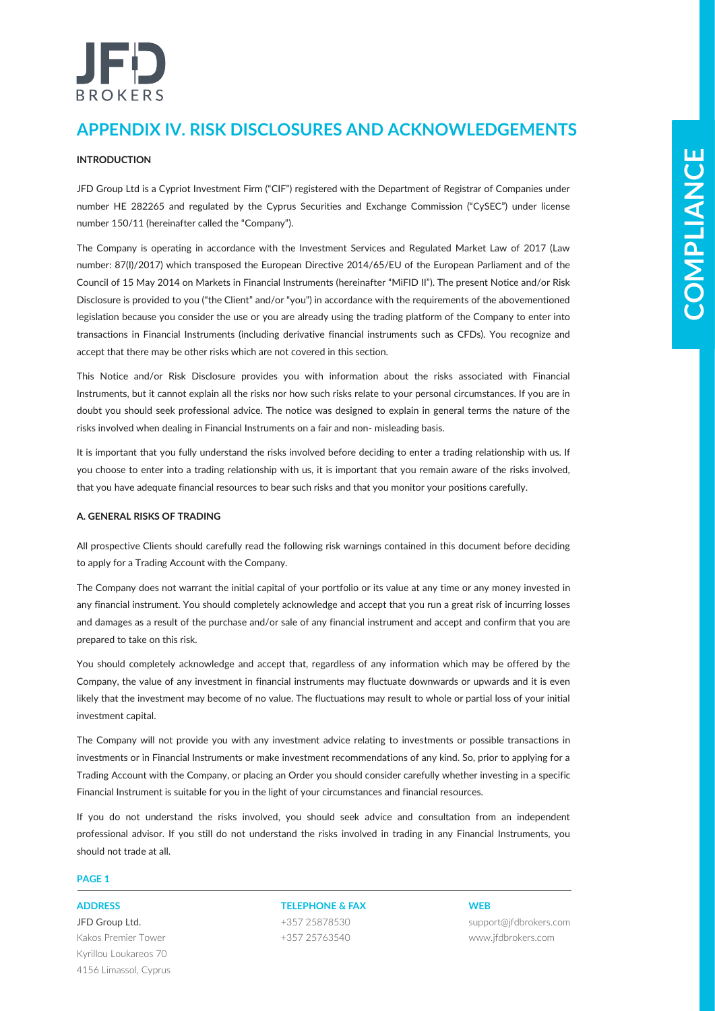# כבו **BROKERS**

# **APPENDIX IV. RISK DISCLOSURES AND ACKNOWLEDGEMENTS**

### **INTRODUCTION**

JFD Group Ltd is a Cypriot Investment Firm ("CIF") registered with the Department of Registrar of Companies under number HE 282265 and regulated by the Cyprus Securities and Exchange Commission ("CySEC") under license number 150/11 (hereinafter called the "Company").

**ENTIRE CONTROL**<br> **CONSULTER CONTROL**<br> **CONSULTER CONTROL**<br> **CONTROL**<br> **CONTROL**<br> **CONTROL**<br> **CONTROL**<br> **CONTROL**<br> **CONTROL**<br> **CONTROL**<br> **CONTROL**<br> **CONTROL**<br> **CONTROL**<br> **CONTROL**<br> **CONTROL**<br> **CONTROL**<br> **CONTROL**<br> **CONTROL** The Company is operating in accordance with the Investment Services and Regulated Market Law of 2017 (Law number: 87(I)/2017) which transposed the European Directive 2014/65/EU of the European Parliament and of the Council of 15 May 2014 on Markets in Financial Instruments (hereinafter "MiFID II"). The present Notice and/or Risk Disclosure is provided to you ("the Client" and/or "you") in accordance with the requirements of the abovementioned legislation because you consider the use or you are already using the trading platform of the Company to enter into transactions in Financial Instruments (including derivative financial instruments such as CFDs). You recognize and accept that there may be other risks which are not covered in this section.

This Notice and/or Risk Disclosure provides you with information about the risks associated with Financial Instruments, but it cannot explain all the risks nor how such risks relate to your personal circumstances. If you are in doubt you should seek professional advice. The notice was designed to explain in general terms the nature of the risks involved when dealing in Financial Instruments on a fair and non- misleading basis.

It is important that you fully understand the risks involved before deciding to enter a trading relationship with us. If you choose to enter into a trading relationship with us, it is important that you remain aware of the risks involved, that you have adequate financial resources to bear such risks and that you monitor your positions carefully.

### **A. GENERAL RISKS OF TRADING**

All prospective Clients should carefully read the following risk warnings contained in this document before deciding to apply for a Trading Account with the Company.

The Company does not warrant the initial capital of your portfolio or its value at any time or any money invested in any financial instrument. You should completely acknowledge and accept that you run a great risk of incurring losses and damages as a result of the purchase and/or sale of any financial instrument and accept and confirm that you are prepared to take on this risk.

You should completely acknowledge and accept that, regardless of any information which may be offered by the Company, the value of any investment in financial instruments may fluctuate downwards or upwards and it is even likely that the investment may become of no value. The fluctuations may result to whole or partial loss of your initial investment capital.

The Company will not provide you with any investment advice relating to investments or possible transactions in investments or in Financial Instruments or make investment recommendations of any kind. So, prior to applying for a Trading Account with the Company, or placing an Order you should consider carefully whether investing in a specific Financial Instrument is suitable for you in the light of your circumstances and financial resources.

If you do not understand the risks involved, you should seek advice and consultation from an independent professional advisor. If you still do not understand the risks involved in trading in any Financial Instruments, you should not trade at all.

### **PAGE 1**

JFD Group Ltd. Kakos Premier Tower Kyrillou Loukareos 70 4156 Limassol, Cyprus

**ADDRESS TELEPHONE & FAX WEB** +357 25878530 +357 25763540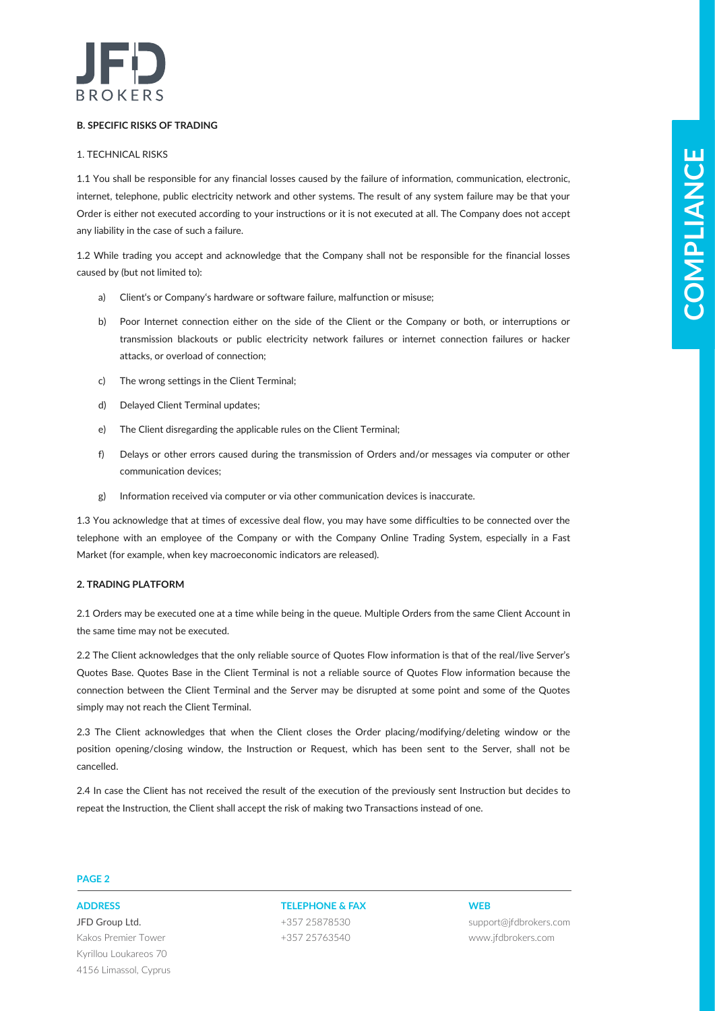

### **B. SPECIFIC RISKS OF TRADING**

### 1. TECHNICAL RISKS

1. The material formula formula formula formula control in the material of the material of the material of the material formula for the material of the material of the material of the material of the material of the mate 1.1 You shall be responsible for any financial losses caused by the failure of information, communication, electronic, internet, telephone, public electricity network and other systems. The result of any system failure may be that your Order is either not executed according to your instructions or it is not executed at all. The Company does not accept any liability in the case of such a failure.

1.2 While trading you accept and acknowledge that the Company shall not be responsible for the financial losses caused by (but not limited to):

- a) Client's or Company's hardware or software failure, malfunction or misuse;
- b) Poor Internet connection either on the side of the Client or the Company or both, or interruptions or transmission blackouts or public electricity network failures or internet connection failures or hacker attacks, or overload of connection;
- c) The wrong settings in the Client Terminal;
- d) Delayed Client Terminal updates;
- e) The Client disregarding the applicable rules on the Client Terminal;
- f) Delays or other errors caused during the transmission of Orders and/or messages via computer or other communication devices;
- g) Information received via computer or via other communication devices is inaccurate.

1.3 You acknowledge that at times of excessive deal flow, you may have some difficulties to be connected over the telephone with an employee of the Company or with the Company Online Trading System, especially in a Fast Market (for example, when key macroeconomic indicators are released).

### **2. TRADING PLATFORM**

2.1 Orders may be executed one at a time while being in the queue. Multiple Orders from the same Client Account in the same time may not be executed.

2.2 The Client acknowledges that the only reliable source of Quotes Flow information is that of the real/live Server's Quotes Base. Quotes Base in the Client Terminal is not a reliable source of Quotes Flow information because the connection between the Client Terminal and the Server may be disrupted at some point and some of the Quotes simply may not reach the Client Terminal.

2.3 The Client acknowledges that when the Client closes the Order placing/modifying/deleting window or the position opening/closing window, the Instruction or Request, which has been sent to the Server, shall not be cancelled.

2.4 In case the Client has not received the result of the execution of the previously sent Instruction but decides to repeat the Instruction, the Client shall accept the risk of making two Transactions instead of one.

### **PAGE 2**

JFD Group Ltd. Kakos Premier Tower Kyrillou Loukareos 70 4156 Limassol, Cyprus

**ADDRESS TELEPHONE & FAX WEB** +357 25878530 +357 25763540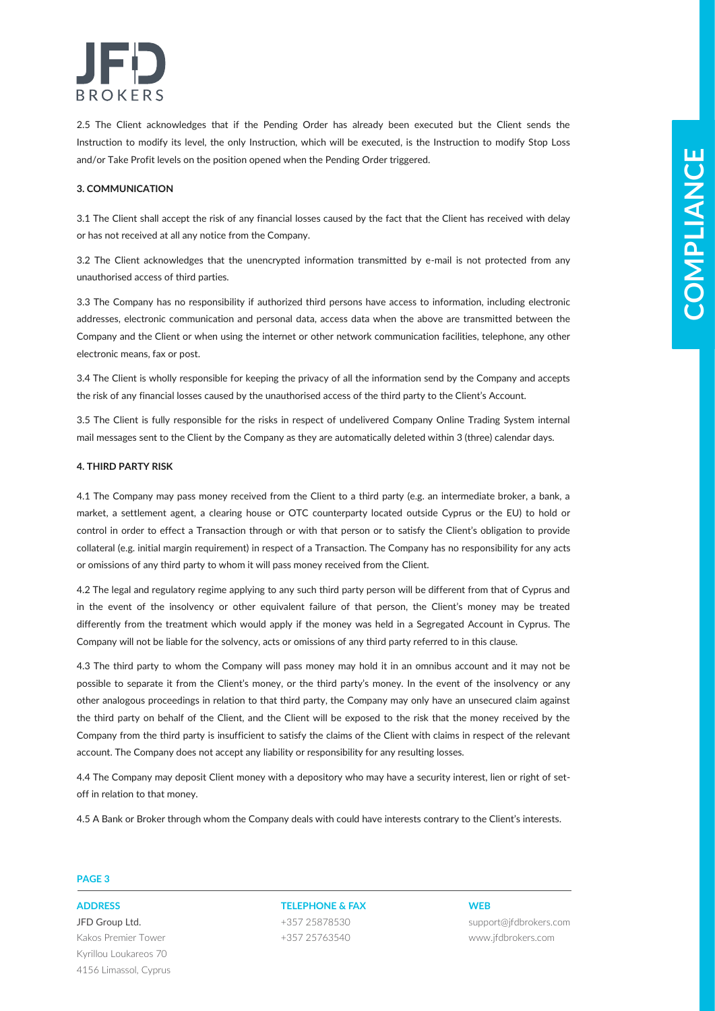

2.5 The Client acknowledges that if the Pending Order has already been executed but the Client sends the Instruction to modify its level, the only Instruction, which will be executed, is the Instruction to modify Stop Loss and/or Take Profit levels on the position opened when the Pending Order triggered.

### **3. COMMUNICATION**

3.1 The Client shall accept the risk of any financial losses caused by the fact that the Client has received with delay or has not received at all any notice from the Company.

3.2 The Client acknowledges that the unencrypted information transmitted by e-mail is not protected from any unauthorised access of third parties.

3.3 The Company has no responsibility if authorized third persons have access to information, including electronic addresses, electronic communication and personal data, access data when the above are transmitted between the Company and the Client or when using the internet or other network communication facilities, telephone, any other electronic means, fax or post.

3.4 The Client is wholly responsible for keeping the privacy of all the information send by the Company and accepts the risk of any financial losses caused by the unauthorised access of the third party to the Client's Account.

3.5 The Client is fully responsible for the risks in respect of undelivered Company Online Trading System internal mail messages sent to the Client by the Company as they are automatically deleted within 3 (three) calendar days.

### **4. THIRD PARTY RISK**

4.1 The Company may pass money received from the Client to a third party (e.g. an intermediate broker, a bank, a market, a settlement agent, a clearing house or OTC counterparty located outside Cyprus or the EU) to hold or control in order to effect a Transaction through or with that person or to satisfy the Client's obligation to provide collateral (e.g. initial margin requirement) in respect of a Transaction. The Company has no responsibility for any acts or omissions of any third party to whom it will pass money received from the Client.

4.2 The legal and regulatory regime applying to any such third party person will be different from that of Cyprus and in the event of the insolvency or other equivalent failure of that person, the Client's money may be treated differently from the treatment which would apply if the money was held in a Segregated Account in Cyprus. The Company will not be liable for the solvency, acts or omissions of any third party referred to in this clause.

analist Team Particular and it is used by the first of the Participa Cherical Special Special Special Special Special Special Special Special Special Special Special Special Special Special Special Special Special Special 4.3 The third party to whom the Company will pass money may hold it in an omnibus account and it may not be possible to separate it from the Client's money, or the third party's money. In the event of the insolvency or any other analogous proceedings in relation to that third party, the Company may only have an unsecured claim against the third party on behalf of the Client, and the Client will be exposed to the risk that the money received by the Company from the third party is insufficient to satisfy the claims of the Client with claims in respect of the relevant account. The Company does not accept any liability or responsibility for any resulting losses.

4.4 The Company may deposit Client money with a depository who may have a security interest, lien or right of setoff in relation to that money.

4.5 A Bank or Broker through whom the Company deals with could have interests contrary to the Client's interests.

### **PAGE 3**

JFD Group Ltd. Kakos Premier Tower Kyrillou Loukareos 70 4156 Limassol, Cyprus

**ADDRESS TELEPHONE & FAX WEB** +357 25878530 +357 25763540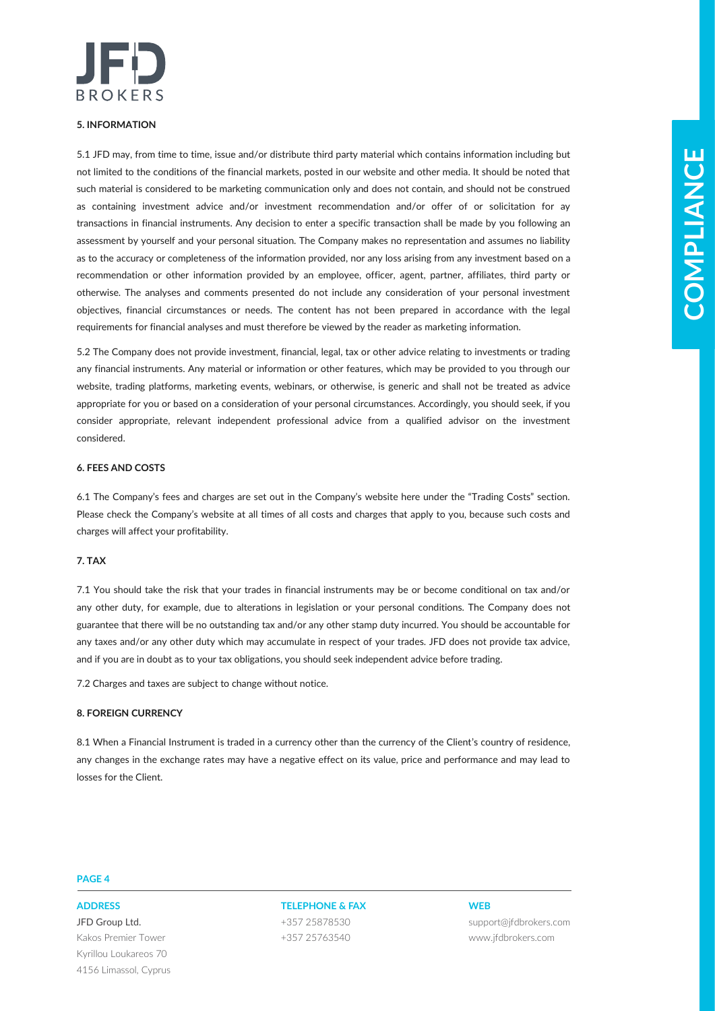

### **5. INFORMATION**

SUITS one financial manual point of the main state interaction of the transfer of the financial interior the main state interior the main state interior interior the main state into the main state into the main state inte 5.1 JFD may, from time to time, issue and/or distribute third party material which contains information including but not limited to the conditions of the financial markets, posted in our website and other media. It should be noted that such material is considered to be marketing communication only and does not contain, and should not be construed as containing investment advice and/or investment recommendation and/or offer of or solicitation for ay transactions in financial instruments. Any decision to enter a specific transaction shall be made by you following an assessment by yourself and your personal situation. The Company makes no representation and assumes no liability as to the accuracy or completeness of the information provided, nor any loss arising from any investment based on a recommendation or other information provided by an employee, officer, agent, partner, affiliates, third party or otherwise. The analyses and comments presented do not include any consideration of your personal investment objectives, financial circumstances or needs. The content has not been prepared in accordance with the legal requirements for financial analyses and must therefore be viewed by the reader as marketing information.

5.2 The Company does not provide investment, financial, legal, tax or other advice relating to investments or trading any financial instruments. Any material or information or other features, which may be provided to you through our website, trading platforms, marketing events, webinars, or otherwise, is generic and shall not be treated as advice appropriate for you or based on a consideration of your personal circumstances. Accordingly, you should seek, if you consider appropriate, relevant independent professional advice from a qualified advisor on the investment considered.

### **6. FEES AND COSTS**

6.1 The Company's fees and charges are set out in the Company's website here under the "Trading Costs" section. Please check the Company's website at all times of all costs and charges that apply to you, because such costs and charges will affect your profitability.

### **7. TAX**

7.1 You should take the risk that your trades in financial instruments may be or become conditional on tax and/or any other duty, for example, due to alterations in legislation or your personal conditions. The Company does not guarantee that there will be no outstanding tax and/or any other stamp duty incurred. You should be accountable for any taxes and/or any other duty which may accumulate in respect of your trades. JFD does not provide tax advice, and if you are in doubt as to your tax obligations, you should seek independent advice before trading.

7.2 Charges and taxes are subject to change without notice.

### **8. FOREIGN CURRENCY**

8.1 When a Financial Instrument is traded in a currency other than the currency of the Client's country of residence, any changes in the exchange rates may have a negative effect on its value, price and performance and may lead to losses for the Client.

### **PAGE 4**

JFD Group Ltd. Kakos Premier Tower Kyrillou Loukareos 70 4156 Limassol, Cyprus

**ADDRESS TELEPHONE & FAX WEB** +357 25878530 +357 25763540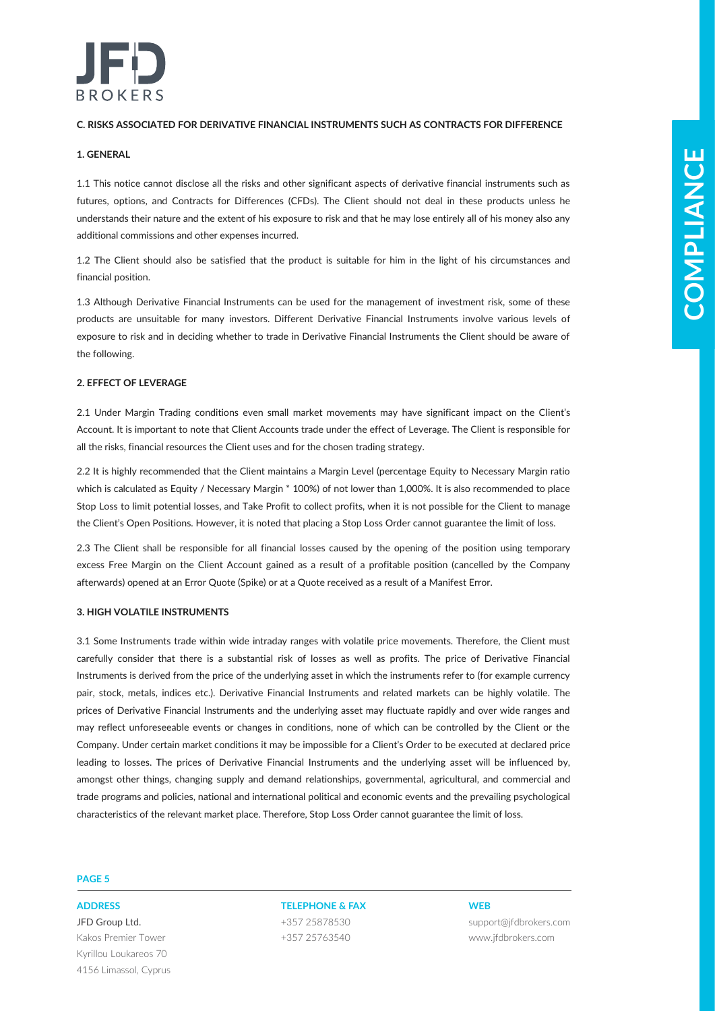

### **C. RISKS ASSOCIATED FOR DERIVATIVE FINANCIAL INSTRUMENTS SUCH AS CONTRACTS FOR DIFFERENCE**

### **1. GENERAL**

1.1 This notice cannot disclose all the risks and other significant aspects of derivative financial instruments such as futures, options, and Contracts for Differences (CFDs). The Client should not deal in these products unless he understands their nature and the extent of his exposure to risk and that he may lose entirely all of his money also any additional commissions and other expenses incurred.

1.2 The Client should also be satisfied that the product is suitable for him in the light of his circumstances and financial position.

1.3 Although Derivative Financial Instruments can be used for the management of investment risk, some of these products are unsuitable for many investors. Different Derivative Financial Instruments involve various levels of exposure to risk and in deciding whether to trade in Derivative Financial Instruments the Client should be aware of the following.

### **2. EFFECT OF LEVERAGE**

2.1 Under Margin Trading conditions even small market movements may have significant impact on the Client's Account. It is important to note that Client Accounts trade under the effect of Leverage. The Client is responsible for all the risks, financial resources the Client uses and for the chosen trading strategy.

2.2 It is highly recommended that the Client maintains a Margin Level (percentage Equity to Necessary Margin ratio which is calculated as Equity / Necessary Margin \* 100%) of not lower than 1,000%. It is also recommended to place Stop Loss to limit potential losses, and Take Profit to collect profits, when it is not possible for the Client to manage the Client's Open Positions. However, it is noted that placing a Stop Loss Order cannot guarantee the limit of loss.

2.3 The Client shall be responsible for all financial losses caused by the opening of the position using temporary excess Free Margin on the Client Account gained as a result of a profitable position (cancelled by the Company afterwards) opened at an Error Quote (Spike) or at a Quote received as a result of a Manifest Error.

### **3. HIGH VOLATILE INSTRUMENTS**

**COMPARE CONTRACTES CONTRACTES AND RESIDENT SERVE AND RESIDENCE AND A CONTRACTES CONTRACTES CONTRACTES CONTRACTES (SERVER AND RESIDENT AND RESIDENCE AND RESIDENT AND RESIDENCE CONTRACTES (SERVER AND RESIDENT AND RESIDENCE** 3.1 Some Instruments trade within wide intraday ranges with volatile price movements. Therefore, the Client must carefully consider that there is a substantial risk of losses as well as profits. The price of Derivative Financial Instruments is derived from the price of the underlying asset in which the instruments refer to (for example currency pair, stock, metals, indices etc.). Derivative Financial Instruments and related markets can be highly volatile. The prices of Derivative Financial Instruments and the underlying asset may fluctuate rapidly and over wide ranges and may reflect unforeseeable events or changes in conditions, none of which can be controlled by the Client or the Company. Under certain market conditions it may be impossible for a Client's Order to be executed at declared price leading to losses. The prices of Derivative Financial Instruments and the underlying asset will be influenced by, amongst other things, changing supply and demand relationships, governmental, agricultural, and commercial and trade programs and policies, national and international political and economic events and the prevailing psychological characteristics of the relevant market place. Therefore, Stop Loss Order cannot guarantee the limit of loss.

### **PAGE 5**

JFD Group Ltd. Kakos Premier Tower Kyrillou Loukareos 70 4156 Limassol, Cyprus

## **ADDRESS TELEPHONE & FAX WEB** +357 25878530

+357 25763540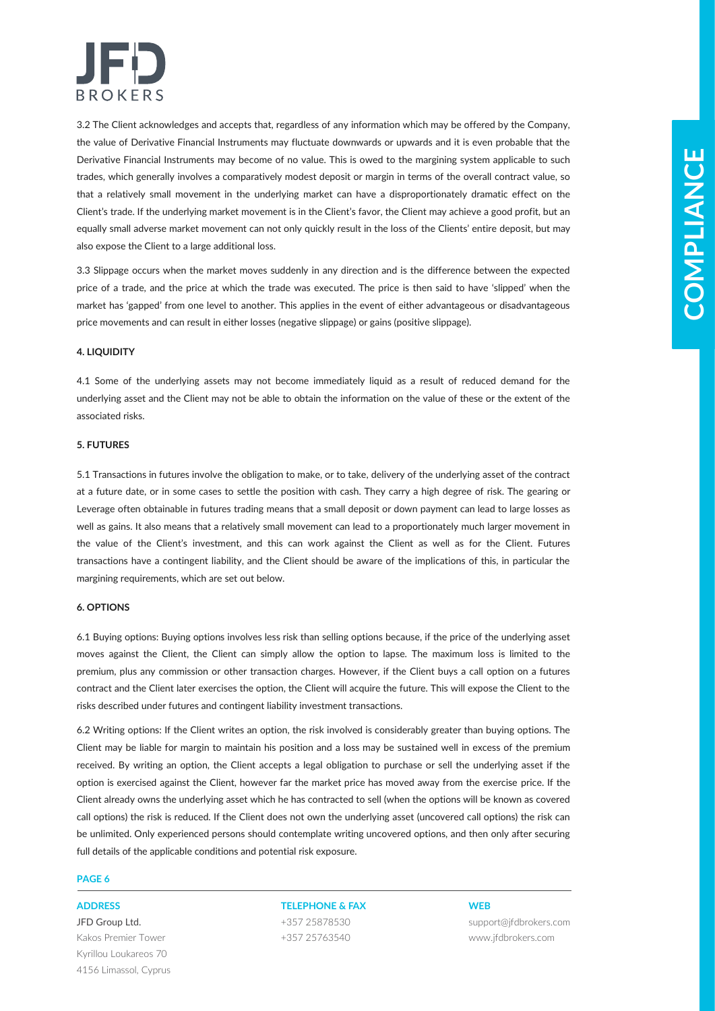

3.2 The Client acknowledges and accepts that, regardless of any information which may be offered by the Company, the value of Derivative Financial Instruments may fluctuate downwards or upwards and it is even probable that the Derivative Financial Instruments may become of no value. This is owed to the margining system applicable to such trades, which generally involves a comparatively modest deposit or margin in terms of the overall contract value, so that a relatively small movement in the underlying market can have a disproportionately dramatic effect on the Client's trade. If the underlying market movement is in the Client's favor, the Client may achieve a good profit, but an equally small adverse market movement can not only quickly result in the loss of the Clients' entire deposit, but may also expose the Client to a large additional loss.

3.3 Slippage occurs when the market moves suddenly in any direction and is the difference between the expected price of a trade, and the price at which the trade was executed. The price is then said to have 'slipped' when the market has 'gapped' from one level to another. This applies in the event of either advantageous or disadvantageous price movements and can result in either losses (negative slippage) or gains (positive slippage).

### **4. LIQUIDITY**

4.1 Some of the underlying assets may not become immediately liquid as a result of reduced demand for the underlying asset and the Client may not be able to obtain the information on the value of these or the extent of the associated risks.

### **5. FUTURES**

5.1 Transactions in futures involve the obligation to make, or to take, delivery of the underlying asset of the contract at a future date, or in some cases to settle the position with cash. They carry a high degree of risk. The gearing or Leverage often obtainable in futures trading means that a small deposit or down payment can lead to large losses as well as gains. It also means that a relatively small movement can lead to a proportionately much larger movement in the value of the Client's investment, and this can work against the Client as well as for the Client. Futures transactions have a contingent liability, and the Client should be aware of the implications of this, in particular the margining requirements, which are set out below.

### **6. OPTIONS**

6.1 Buying options: Buying options involves less risk than selling options because, if the price of the underlying asset moves against the Client, the Client can simply allow the option to lapse. The maximum loss is limited to the premium, plus any commission or other transaction charges. However, if the Client buys a call option on a futures contract and the Client later exercises the option, the Client will acquire the future. This will expose the Client to the risks described under futures and contingent liability investment transactions.

Duction First of the dentricondent in the classical interaction and the energies are an interaction and the dentricondent interaction and the state of the state of the state of the state of the state of the state of the st 6.2 Writing options: If the Client writes an option, the risk involved is considerably greater than buying options. The Client may be liable for margin to maintain his position and a loss may be sustained well in excess of the premium received. By writing an option, the Client accepts a legal obligation to purchase or sell the underlying asset if the option is exercised against the Client, however far the market price has moved away from the exercise price. If the Client already owns the underlying asset which he has contracted to sell (when the options will be known as covered call options) the risk is reduced. If the Client does not own the underlying asset (uncovered call options) the risk can be unlimited. Only experienced persons should contemplate writing uncovered options, and then only after securing full details of the applicable conditions and potential risk exposure.

### **PAGE 6**

JFD Group Ltd. Kakos Premier Tower Kyrillou Loukareos 70 4156 Limassol, Cyprus

### **ADDRESS TELEPHONE & FAX WEB**

+357 25878530 +357 25763540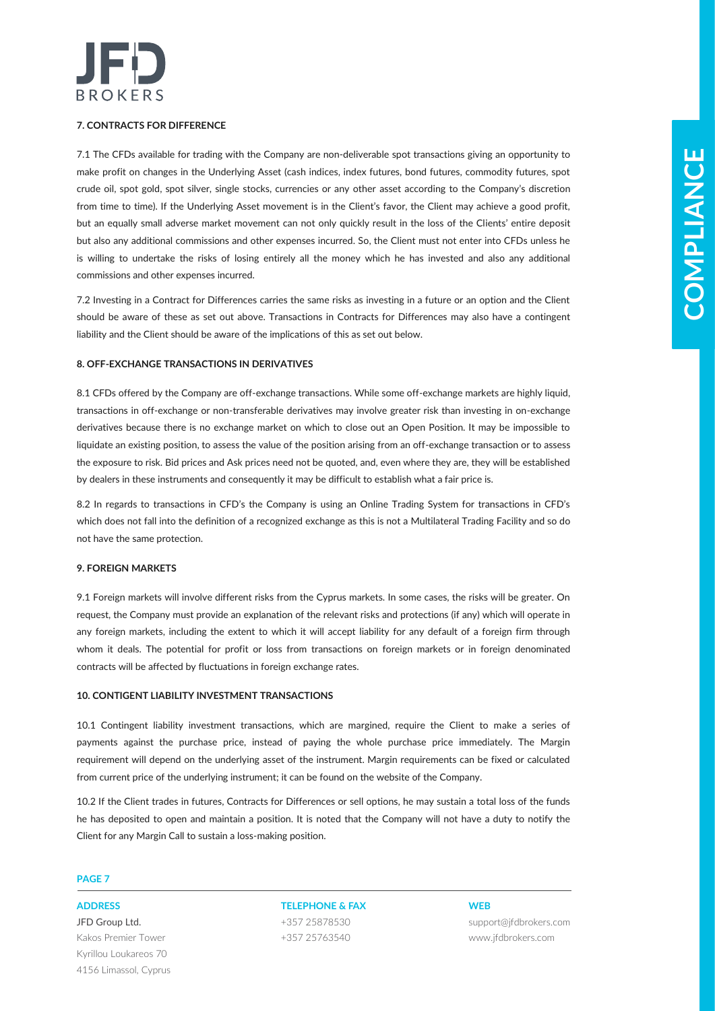

### **7. CONTRACTS FOR DIFFERENCE**

21 The CITy and the forest experiment the temperature are the temperature and the properties of the context of the temperature of the temperature of the temperature of the temperature of the temperature of the temperature 7.1 The CFDs available for trading with the Company are non-deliverable spot transactions giving an opportunity to make profit on changes in the Underlying Asset (cash indices, index futures, bond futures, commodity futures, spot crude oil, spot gold, spot silver, single stocks, currencies or any other asset according to the Company's discretion from time to time). If the Underlying Asset movement is in the Client's favor, the Client may achieve a good profit, but an equally small adverse market movement can not only quickly result in the loss of the Clients' entire deposit but also any additional commissions and other expenses incurred. So, the Client must not enter into CFDs unless he is willing to undertake the risks of losing entirely all the money which he has invested and also any additional commissions and other expenses incurred.

7.2 Investing in a Contract for Differences carries the same risks as investing in a future or an option and the Client should be aware of these as set out above. Transactions in Contracts for Differences may also have a contingent liability and the Client should be aware of the implications of this as set out below.

### **8. OFF-EXCHANGE TRANSACTIONS IN DERIVATIVES**

8.1 CFDs offered by the Company are off-exchange transactions. While some off-exchange markets are highly liquid, transactions in off-exchange or non-transferable derivatives may involve greater risk than investing in on-exchange derivatives because there is no exchange market on which to close out an Open Position. It may be impossible to liquidate an existing position, to assess the value of the position arising from an off-exchange transaction or to assess the exposure to risk. Bid prices and Ask prices need not be quoted, and, even where they are, they will be established by dealers in these instruments and consequently it may be difficult to establish what a fair price is.

8.2 In regards to transactions in CFD's the Company is using an Online Trading System for transactions in CFD's which does not fall into the definition of a recognized exchange as this is not a Multilateral Trading Facility and so do not have the same protection.

### **9. FOREIGN MARKETS**

9.1 Foreign markets will involve different risks from the Cyprus markets. In some cases, the risks will be greater. On request, the Company must provide an explanation of the relevant risks and protections (if any) which will operate in any foreign markets, including the extent to which it will accept liability for any default of a foreign firm through whom it deals. The potential for profit or loss from transactions on foreign markets or in foreign denominated contracts will be affected by fluctuations in foreign exchange rates.

### **10. CONTIGENT LIABILITY INVESTMENT TRANSACTIONS**

10.1 Contingent liability investment transactions, which are margined, require the Client to make a series of payments against the purchase price, instead of paying the whole purchase price immediately. The Margin requirement will depend on the underlying asset of the instrument. Margin requirements can be fixed or calculated from current price of the underlying instrument; it can be found on the website of the Company.

10.2 If the Client trades in futures, Contracts for Differences or sell options, he may sustain a total loss of the funds he has deposited to open and maintain a position. It is noted that the Company will not have a duty to notify the Client for any Margin Call to sustain a loss-making position.

### **PAGE 7**

JFD Group Ltd. Kakos Premier Tower Kyrillou Loukareos 70 4156 Limassol, Cyprus

**ADDRESS TELEPHONE & FAX WEB** +357 25878530 +357 25763540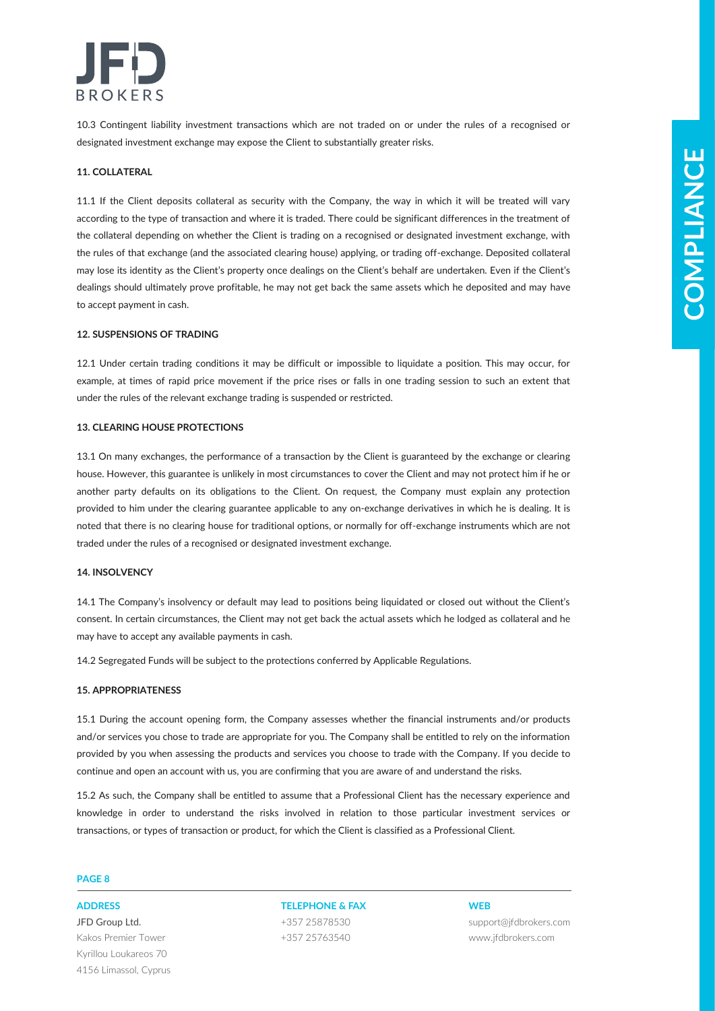

10.3 Contingent liability investment transactions which are not traded on or under the rules of a recognised or designated investment exchange may expose the Client to substantially greater risks.

### **11. COLLATERAL**

13. COLATERAL<br>
13. COLATERAL<br>
13. COLATERAL<br>
23. CONFIDENTIA AND A GONDER CONSULTER CONSULTER UNITS INTO A REPORT THE CONSULTER CONSULTER CONSULTER CONSULTER<br>
CONSULTER CONSULTER CONSULTER CONSULTER CONSULTER CONSULTER CON 11.1 If the Client deposits collateral as security with the Company, the way in which it will be treated will vary according to the type of transaction and where it is traded. There could be significant differences in the treatment of the collateral depending on whether the Client is trading on a recognised or designated investment exchange, with the rules of that exchange (and the associated clearing house) applying, or trading off-exchange. Deposited collateral may lose its identity as the Client's property once dealings on the Client's behalf are undertaken. Even if the Client's dealings should ultimately prove profitable, he may not get back the same assets which he deposited and may have to accept payment in cash.

### **12. SUSPENSIONS OF TRADING**

12.1 Under certain trading conditions it may be difficult or impossible to liquidate a position. This may occur, for example, at times of rapid price movement if the price rises or falls in one trading session to such an extent that under the rules of the relevant exchange trading is suspended or restricted.

### **13. CLEARING HOUSE PROTECTIONS**

13.1 On many exchanges, the performance of a transaction by the Client is guaranteed by the exchange or clearing house. However, this guarantee is unlikely in most circumstances to cover the Client and may not protect him if he or another party defaults on its obligations to the Client. On request, the Company must explain any protection provided to him under the clearing guarantee applicable to any on-exchange derivatives in which he is dealing. It is noted that there is no clearing house for traditional options, or normally for off-exchange instruments which are not traded under the rules of a recognised or designated investment exchange.

### **14. INSOLVENCY**

14.1 The Company's insolvency or default may lead to positions being liquidated or closed out without the Client's consent. In certain circumstances, the Client may not get back the actual assets which he lodged as collateral and he may have to accept any available payments in cash.

14.2 Segregated Funds will be subject to the protections conferred by Applicable Regulations.

### **15. APPROPRIATENESS**

15.1 During the account opening form, the Company assesses whether the financial instruments and/or products and/or services you chose to trade are appropriate for you. The Company shall be entitled to rely on the information provided by you when assessing the products and services you choose to trade with the Company. If you decide to continue and open an account with us, you are confirming that you are aware of and understand the risks.

15.2 As such, the Company shall be entitled to assume that a Professional Client has the necessary experience and knowledge in order to understand the risks involved in relation to those particular investment services or transactions, or types of transaction or product, for which the Client is classified as a Professional Client.

### **PAGE 8**

JFD Group Ltd. Kakos Premier Tower Kyrillou Loukareos 70 4156 Limassol, Cyprus

**ADDRESS TELEPHONE & FAX WEB** +357 25878530 +357 25763540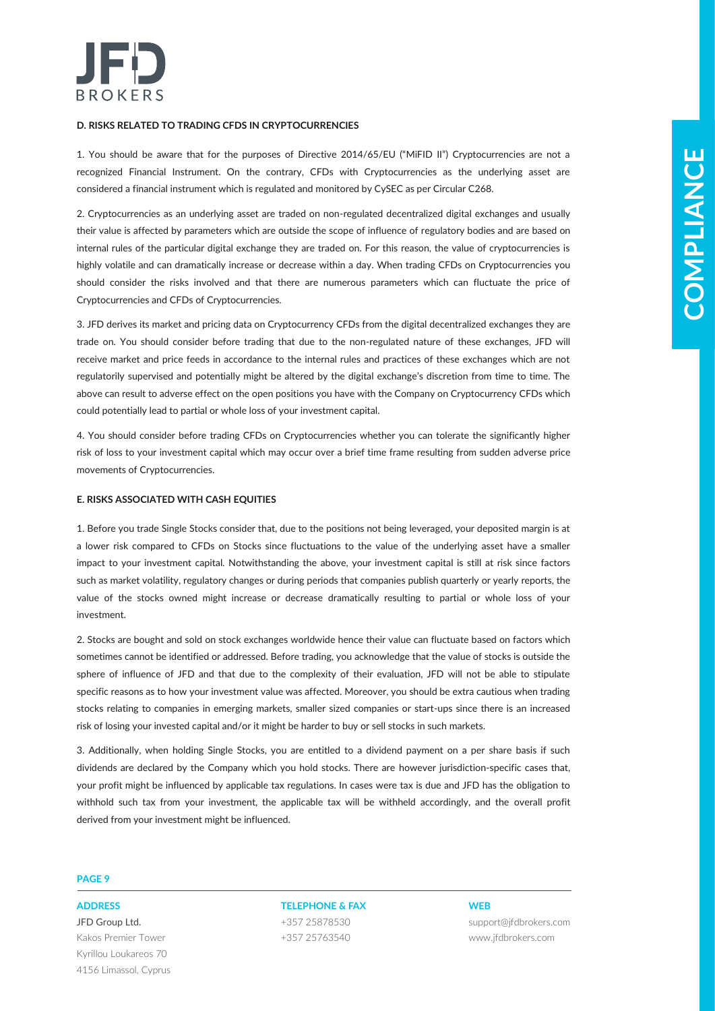

### **D. RISKS RELATED TO TRADING CFDS IN CRYPTOCURRENCIES**

1. You should be aware that for the purposes of Directive 2014/65/EU ("MiFID II") Cryptocurrencies are not a recognized Financial Instrument. On the contrary, CFDs with Cryptocurrencies as the underlying asset are considered a financial instrument which is regulated and monitored by CySEC as per Circular C268.

Using the above the formula procedure of the material (1970) in Communities we are the set of the material of the set of the set of the set of the set of the set of the set of the set of the set of the set of the set of t 2. Cryptocurrencies as an underlying asset are traded on non-regulated decentralized digital exchanges and usually their value is affected by parameters which are outside the scope of influence of regulatory bodies and are based on internal rules of the particular digital exchange they are traded on. For this reason, the value of cryptocurrencies is highly volatile and can dramatically increase or decrease within a day. When trading CFDs on Cryptocurrencies you should consider the risks involved and that there are numerous parameters which can fluctuate the price of Cryptocurrencies and CFDs of Cryptocurrencies.

3. JFD derives its market and pricing data on Cryptocurrency CFDs from the digital decentralized exchanges they are trade on. You should consider before trading that due to the non-regulated nature of these exchanges, JFD will receive market and price feeds in accordance to the internal rules and practices of these exchanges which are not regulatorily supervised and potentially might be altered by the digital exchange's discretion from time to time. The above can result to adverse effect on the open positions you have with the Company on Cryptocurrency CFDs which could potentially lead to partial or whole loss of your investment capital.

4. You should consider before trading CFDs on Cryptocurrencies whether you can tolerate the significantly higher risk of loss to your investment capital which may occur over a brief time frame resulting from sudden adverse price movements of Cryptocurrencies.

### **E. RISKS ASSOCIATED WITH CASH EQUITIES**

1. Before you trade Single Stocks consider that, due to the positions not being leveraged, your deposited margin is at a lower risk compared to CFDs on Stocks since fluctuations to the value of the underlying asset have a smaller impact to your investment capital. Notwithstanding the above, your investment capital is still at risk since factors such as market volatility, regulatory changes or during periods that companies publish quarterly or yearly reports, the value of the stocks owned might increase or decrease dramatically resulting to partial or whole loss of your investment.

2. Stocks are bought and sold on stock exchanges worldwide hence their value can fluctuate based on factors which sometimes cannot be identified or addressed. Before trading, you acknowledge that the value of stocks is outside the sphere of influence of JFD and that due to the complexity of their evaluation, JFD will not be able to stipulate specific reasons as to how your investment value was affected. Moreover, you should be extra cautious when trading stocks relating to companies in emerging markets, smaller sized companies or start-ups since there is an increased risk of losing your invested capital and/or it might be harder to buy or sell stocks in such markets.

3. Additionally, when holding Single Stocks, you are entitled to a dividend payment on a per share basis if such dividends are declared by the Company which you hold stocks. There are however jurisdiction-specific cases that, your profit might be influenced by applicable tax regulations. In cases were tax is due and JFD has the obligation to withhold such tax from your investment, the applicable tax will be withheld accordingly, and the overall profit derived from your investment might be influenced.

### **PAGE 9**

JFD Group Ltd. Kakos Premier Tower Kyrillou Loukareos 70 4156 Limassol, Cyprus

**ADDRESS TELEPHONE & FAX WEB** +357 25878530 +357 25763540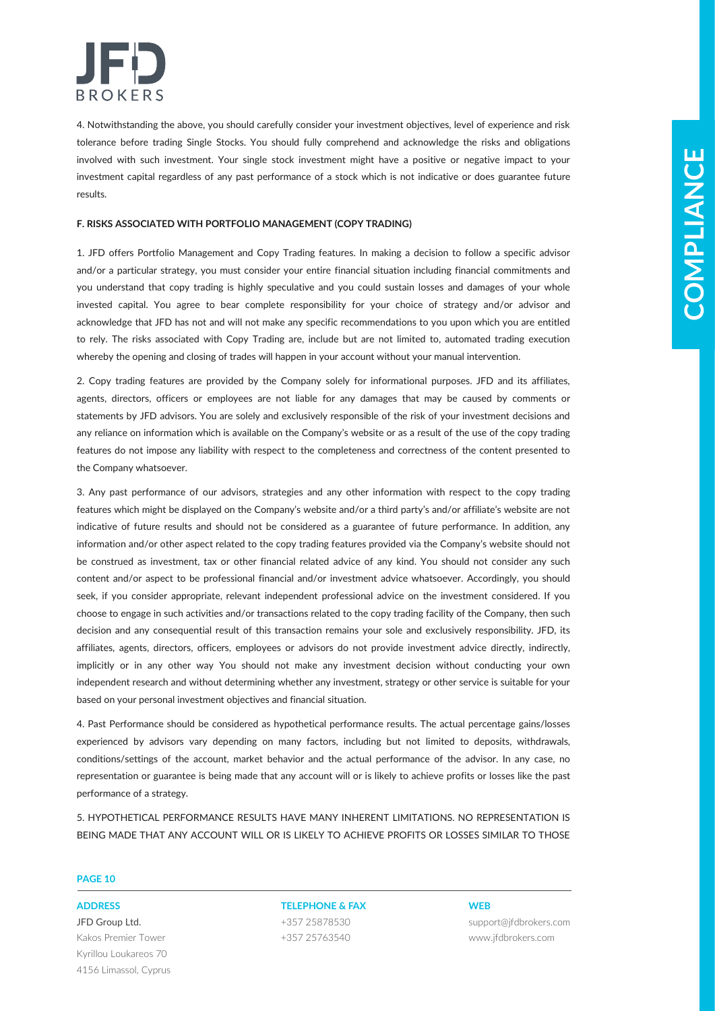

4. Notwithstanding the above, you should carefully consider your investment objectives, level of experience and risk tolerance before trading Single Stocks. You should fully comprehend and acknowledge the risks and obligations involved with such investment. Your single stock investment might have a positive or negative impact to your investment capital regardless of any past performance of a stock which is not indicative or does guarantee future results.

### **F. RISKS ASSOCIATED WITH PORTFOLIO MANAGEMENT (COPY TRADING)**

1. JFD offers Portfolio Management and Copy Trading features. In making a decision to follow a specific advisor and/or a particular strategy, you must consider your entire financial situation including financial commitments and you understand that copy trading is highly speculative and you could sustain losses and damages of your whole invested capital. You agree to bear complete responsibility for your choice of strategy and/or advisor and acknowledge that JFD has not and will not make any specific recommendations to you upon which you are entitled to rely. The risks associated with Copy Trading are, include but are not limited to, automated trading execution whereby the opening and closing of trades will happen in your account without your manual intervention.

2. Copy trading features are provided by the Company solely for informational purposes. JFD and its affiliates, agents, directors, officers or employees are not liable for any damages that may be caused by comments or statements by JFD advisors. You are solely and exclusively responsible of the risk of your investment decisions and any reliance on information which is available on the Company's website or as a result of the use of the copy trading features do not impose any liability with respect to the completeness and correctness of the content presented to the Company whatsoever.

For the third is the state of the state interesting in the leading transfer interesting in the state of the state of the state of the state of the state of the state of the state of the state of the state of the state of 3. Any past performance of our advisors, strategies and any other information with respect to the copy trading features which might be displayed on the Company's website and/or a third party's and/or affiliate's website are not indicative of future results and should not be considered as a guarantee of future performance. In addition, any information and/or other aspect related to the copy trading features provided via the Company's website should not be construed as investment, tax or other financial related advice of any kind. You should not consider any such content and/or aspect to be professional financial and/or investment advice whatsoever. Accordingly, you should seek, if you consider appropriate, relevant independent professional advice on the investment considered. If you choose to engage in such activities and/or transactions related to the copy trading facility of the Company, then such decision and any consequential result of this transaction remains your sole and exclusively responsibility. JFD, its affiliates, agents, directors, officers, employees or advisors do not provide investment advice directly, indirectly, implicitly or in any other way You should not make any investment decision without conducting your own independent research and without determining whether any investment, strategy or other service is suitable for your based on your personal investment objectives and financial situation.

4. Past Performance should be considered as hypothetical performance results. The actual percentage gains/losses experienced by advisors vary depending on many factors, including but not limited to deposits, withdrawals, conditions/settings of the account, market behavior and the actual performance of the advisor. In any case, no representation or guarantee is being made that any account will or is likely to achieve profits or losses like the past performance of a strategy.

5. HYPOTHETICAL PERFORMANCE RESULTS HAVE MANY INHERENT LIMITATIONS. NO REPRESENTATION IS BEING MADE THAT ANY ACCOUNT WILL OR IS LIKELY TO ACHIEVE PROFITS OR LOSSES SIMILAR TO THOSE

### **PAGE 10**

JFD Group Ltd. Kakos Premier Tower Kyrillou Loukareos 70 4156 Limassol, Cyprus

# **ADDRESS TELEPHONE & FAX WEB**

+357 25878530 +357 25763540